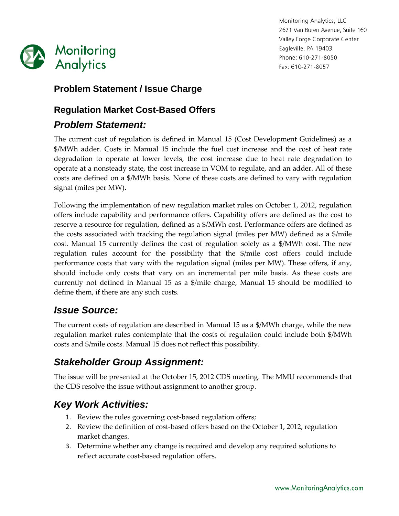

Monitoring Analytics, LLC 2621 Van Buren Avenue, Suite 160 Valley Forge Corporate Center Eagleville, PA 19403 Phone: 610-271-8050 Fax: 610-271-8057

#### **Problem Statement / Issue Charge**

### **Regulation Market Cost-Based Offers**

#### *Problem Statement:*

The current cost of regulation is defined in Manual 15 (Cost Development Guidelines) as a \$/MWh adder. Costs in Manual 15 include the fuel cost increase and the cost of heat rate degradation to operate at lower levels, the cost increase due to heat rate degradation to operate at a nonsteady state, the cost increase in VOM to regulate, and an adder. All of these costs are defined on a \$/MWh basis. None of these costs are defined to vary with regulation signal (miles per MW).

Following the implementation of new regulation market rules on October 1, 2012, regulation offers include capability and performance offers. Capability offers are defined as the cost to reserve a resource for regulation, defined as a \$/MWh cost. Performance offers are defined as the costs associated with tracking the regulation signal (miles per MW) defined as a \$/mile cost. Manual 15 currently defines the cost of regulation solely as a \$/MWh cost. The new regulation rules account for the possibility that the \$/mile cost offers could include performance costs that vary with the regulation signal (miles per MW). These offers, if any, should include only costs that vary on an incremental per mile basis. As these costs are currently not defined in Manual 15 as a \$/mile charge, Manual 15 should be modified to define them, if there are any such costs.

### *Issue Source:*

The current costs of regulation are described in Manual 15 as a \$/MWh charge, while the new regulation market rules contemplate that the costs of regulation could include both \$/MWh costs and \$/mile costs. Manual 15 does not reflect this possibility.

# *Stakeholder Group Assignment:*

The issue will be presented at the October 15, 2012 CDS meeting. The MMU recommends that the CDS resolve the issue without assignment to another group.

# *Key Work Activities:*

- 1. Review the rules governing cost-based regulation offers;
- 2. Review the definition of cost-based offers based on the October 1, 2012, regulation market changes.
- 3. Determine whether any change is required and develop any required solutions to reflect accurate cost-based regulation offers.